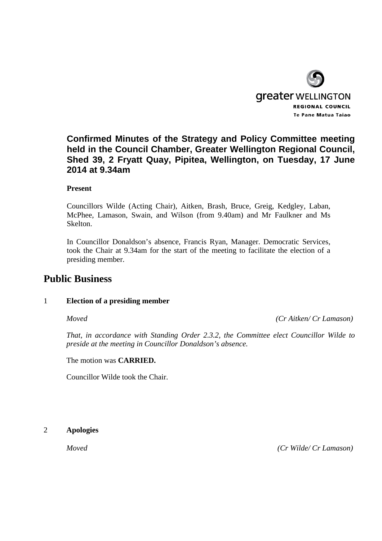

## **Confirmed Minutes of the Strategy and Policy Committee meeting held in the Council Chamber, Greater Wellington Regional Council, Shed 39, 2 Fryatt Quay, Pipitea, Wellington, on Tuesday, 17 June 2014 at 9.34am**

### **Present**

Councillors Wilde (Acting Chair), Aitken, Brash, Bruce, Greig, Kedgley, Laban, McPhee, Lamason, Swain, and Wilson (from 9.40am) and Mr Faulkner and Ms Skelton.

In Councillor Donaldson's absence, Francis Ryan, Manager. Democratic Services, took the Chair at 9.34am for the start of the meeting to facilitate the election of a presiding member.

## **Public Business**

### 1 **Election of a presiding member**

*Moved (Cr Aitken/ Cr Lamason)* 

*That, in accordance with Standing Order 2.3.2, the Committee elect Councillor Wilde to preside at the meeting in Councillor Donaldson's absence.* 

The motion was **CARRIED.** 

Councillor Wilde took the Chair.

2 **Apologies** 

*Moved (Cr Wilde/ Cr Lamason)*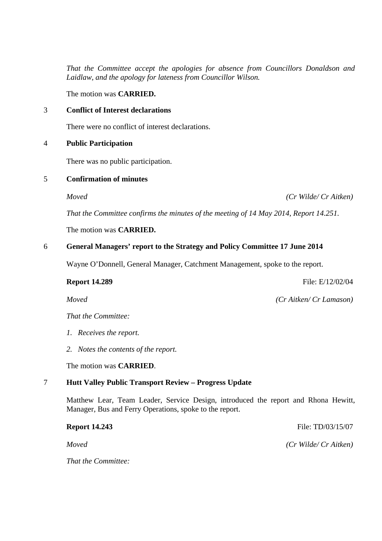*That the Committee accept the apologies for absence from Councillors Donaldson and Laidlaw, and the apology for lateness from Councillor Wilson.* 

The motion was **CARRIED.** 

### 3 **Conflict of Interest declarations**

There were no conflict of interest declarations.

### 4 **Public Participation**

There was no public participation.

### 5 **Confirmation of minutes**

*Moved (Cr Wilde/ Cr Aitken)* 

*That the Committee confirms the minutes of the meeting of 14 May 2014, Report 14.251.* 

The motion was **CARRIED.** 

### 6 **General Managers' report to the Strategy and Policy Committee 17 June 2014**

Wayne O'Donnell, General Manager, Catchment Management, spoke to the report.

### **Report 14.289 File: E/12/02/04**

*Moved (Cr Aitken/ Cr Lamason)* 

*That the Committee:* 

- *1. Receives the report.*
- *2. Notes the contents of the report.*

The motion was **CARRIED**.

### 7 **Hutt Valley Public Transport Review – Progress Update**

Matthew Lear, Team Leader, Service Design, introduced the report and Rhona Hewitt, Manager, Bus and Ferry Operations, spoke to the report.

*That the Committee:* 

**Report 14.243** File: TD/03/15/07

*Moved (Cr Wilde/ Cr Aitken)*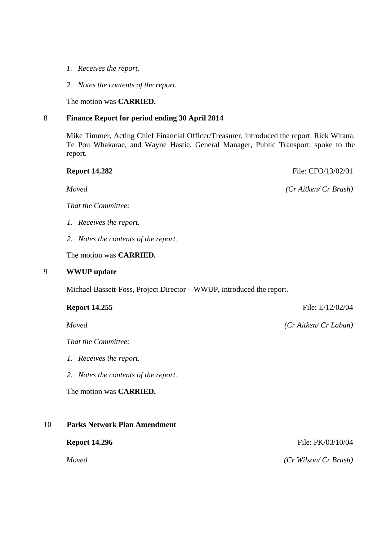- *1. Receives the report.*
- *2. Notes the contents of the report.*

The motion was **CARRIED.** 

### 8 **Finance Report for period ending 30 April 2014**

Mike Timmer, Acting Chief Financial Officer/Treasurer, introduced the report. Rick Witana, Te Pou Whakarae, and Wayne Hastie, General Manager, Public Transport, spoke to the report.

# *Moved (Cr Aitken/ Cr Brash) That the Committee: 1. Receives the report. 2. Notes the contents of the report.*  The motion was **CARRIED.**  9 **WWUP update**  Michael Bassett-Foss, Project Director – WWUP, introduced the report. **Report 14.255** File: E/12/02/04 *Moved (Cr Aitken/ Cr Laban) That the Committee: 1. Receives the report.*  The motion was **CARRIED.**

### 10 **Parks Network Plan Amendment**

**Report 14.296 File: PK/03/10/04** 

*Moved (Cr Wilson/ Cr Brash)* 

**Report 14.282 File: CFO/13/02/01** 

*2. Notes the contents of the report.*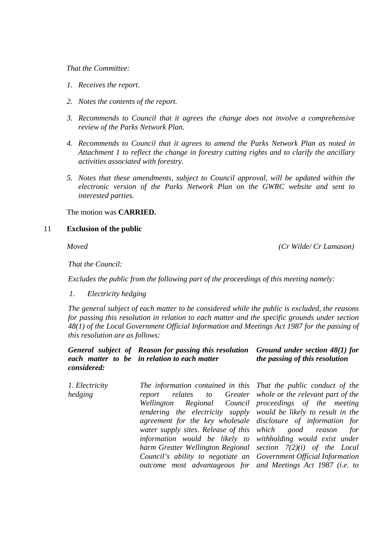### *That the Committee:*

- *1. Receives the report.*
- *2. Notes the contents of the report.*
- *3. Recommends to Council that it agrees the change does not involve a comprehensive review of the Parks Network Plan.*
- *4. Recommends to Council that it agrees to amend the Parks Network Plan as noted in Attachment 1 to reflect the change in forestry cutting rights and to clarify the ancillary activities associated with forestry.*
- *5. Notes that these amendments, subject to Council approval, will be updated within the electronic version of the Parks Network Plan on the GWRC website and sent to interested parties.*

### The motion was **CARRIED.**

### 11 **Exclusion of the public**

*Moved (Cr Wilde/ Cr Lamason)* 

*That the Council:* 

 *Excludes the public from the following part of the proceedings of this meeting namely:* 

*1. Electricity hedging* 

*The general subject of each matter to be considered while the public is excluded, the reasons for passing this resolution in relation to each matter and the specific grounds under section 48(1) of the Local Government Official Information and Meetings Act 1987 for the passing of this resolution are as follows:* 

### *General subject of Reason for passing this resolution each matter to be in relation to each matter considered: Ground under section 48(1) for the passing of this resolution*

| 1. Electricity | The information contained in this That the public conduct of the  |  |
|----------------|-------------------------------------------------------------------|--|
| hedging        | report relates to Greater whole or the relevant part of the       |  |
|                | Wellington Regional Council proceedings of the meeting            |  |
|                | tendering the electricity supply would be likely to result in the |  |
|                | agreement for the key wholesale disclosure of information for     |  |
|                | water supply sites. Release of this which good reason for         |  |
|                | information would be likely to withholding would exist under      |  |
|                | harm Greater Wellington Regional section $7(2)(i)$ of the Local   |  |
|                | Council's ability to negotiate an Government Official Information |  |
|                | outcome most advantageous for and Meetings Act 1987 (i.e. to      |  |
|                |                                                                   |  |